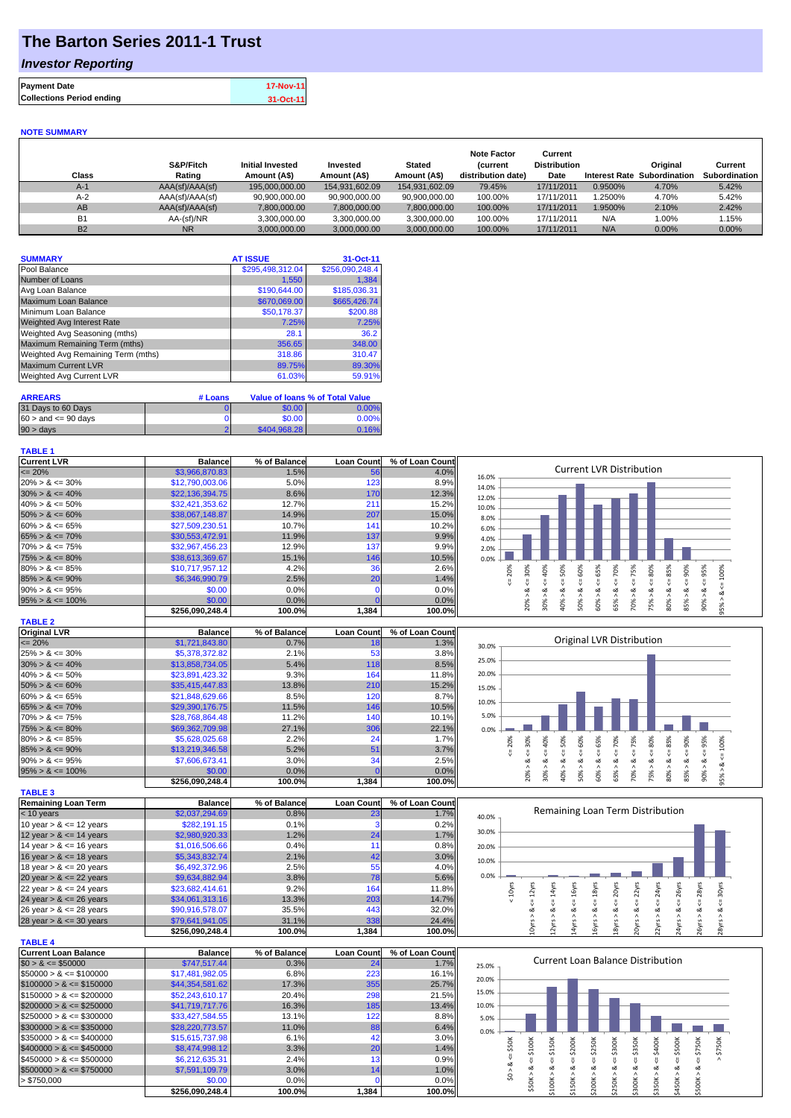## **The Barton Series 2011-1 Trust**

### *Investor Reporting*

| <b>Payment Date</b>              | <b>17-Nov-11</b> |
|----------------------------------|------------------|
| <b>Collections Period ending</b> | 31-Oct-11        |

#### **NOTE SUMMARY**

**TABLE 4**

| Class     | S&P/Fitch<br>Rating | <b>Initial Invested</b><br>Amount (A\$) | Invested<br>Amount (A\$) | <b>Stated</b><br>Amount (A\$) | <b>Note Factor</b><br><b>Current</b><br>distribution date) | Current<br><b>Distribution</b><br>Date | <b>Interest Rate</b> | Original<br>Subordination | Current<br>Subordination |
|-----------|---------------------|-----------------------------------------|--------------------------|-------------------------------|------------------------------------------------------------|----------------------------------------|----------------------|---------------------------|--------------------------|
| $A-1$     | AAA(sf)/AAA(sf)     | 195.000.000.00                          | 154.931.602.09           | 154.931.602.09                | 79.45%                                                     | 17/11/2011                             | 0.9500%              | 4.70%                     | 5.42%                    |
| $A-2$     | AAA(sf)/AAA(sf)     | 90.900.000.00                           | 90.900.000.00            | 90.900.000.00                 | 100.00%                                                    | 17/11/2011                             | 1.2500%              | 4.70%                     | 5.42%                    |
| AB        | AAA(sf)/AAA(sf)     | 7,800,000.00                            | 7,800,000.00             | 7,800,000.00                  | 100.00%                                                    | 17/11/2011                             | 1.9500%              | 2.10%                     | 2.42%                    |
| <b>B1</b> | AA-(sf)/NR          | 3.300.000.00                            | 3.300.000.00             | 3.300.000.00                  | 100.00%                                                    | 17/11/2011                             | N/A                  | $1.00\%$                  | 1.15%                    |
| <b>B2</b> | <b>NR</b>           | 3,000,000.00                            | 3.000.000.00             | 3.000.000.00                  | 100.00%                                                    | 17/11/2011                             | N/A                  | 0.00%                     | $0.00\%$                 |

| <b>SUMMARY</b>                     | <b>AT ISSUE</b>  | 31-Oct-11       |
|------------------------------------|------------------|-----------------|
| Pool Balance                       | \$295,498,312.04 | \$256,090,248.4 |
| Number of Loans                    | 1,550            | 1.384           |
| Avg Loan Balance                   | \$190,644.00     | \$185,036.31    |
| Maximum Loan Balance               | \$670,069.00     | \$665,426.74    |
| Minimum Loan Balance               | \$50,178.37      | \$200.88        |
| <b>Weighted Avg Interest Rate</b>  | 7.25%            | 7.25%           |
| Weighted Avg Seasoning (mths)      | 28.1             | 36.2            |
| Maximum Remaining Term (mths)      | 356.65           | 348.00          |
| Weighted Avg Remaining Term (mths) | 318.86           | 310.47          |
| <b>Maximum Current LVR</b>         | 89.75%           | 89.30%          |
| Weighted Avg Current LVR           | 61.03%           | 59.91%          |

| <b>ARREARS</b>            | # Loans |                     | Value of Ioans % of Total Value |
|---------------------------|---------|---------------------|---------------------------------|
| 31 Days to 60 Days        |         | \$0.00 <sub>1</sub> | 0.00%                           |
| $60 >$ and $\leq 90$ davs |         | \$0.00              | 0.00%                           |
| $90 > \text{days}$        |         | \$404.968.28        | 0.16%                           |

| <b>TABLE 1</b>       |                 |              |                   |                 |                                                                              |
|----------------------|-----------------|--------------|-------------------|-----------------|------------------------------------------------------------------------------|
| <b>Current LVR</b>   | <b>Balance</b>  | % of Balance | <b>Loan Count</b> | % of Loan Count |                                                                              |
| $\leq$ 20%           | \$3,966,870.83  | 1.5%         | 56                | 4.0%            | <b>Current LVR Distribution</b><br>16.0%                                     |
| $20\% > 8 \le 30\%$  | \$12,790,003.06 | 5.0%         | 123               | 8.9%            | 14.0%                                                                        |
| $30\% > 8 \le 40\%$  | \$22,136,394.75 | 8.6%         | 170               | 12.3%           | 12.0%                                                                        |
| $40\% > 8 \le 50\%$  | \$32,421,353.62 | 12.7%        | 211               | 15.2%           | 10.0%                                                                        |
| $50\% > 8 \le 60\%$  | \$38,067,148.87 | 14.9%        | 207               | 15.0%           | 8.0%                                                                         |
| $60\% > 8 \le 65\%$  | \$27,509,230.51 | 10.7%        | 141               | 10.2%           | 6.0%                                                                         |
| $65\% > 8 \le 70\%$  | \$30,553,472.91 | 11.9%        | 137               | 9.9%            | 4.0%                                                                         |
| $70\% > 8 \le 75\%$  | \$32,967,456.23 | 12.9%        | 137               | 9.9%            | 2.0%                                                                         |
| $75\% > 8 \le 80\%$  | \$38,613,369.67 | 15.1%        | 146               | 10.5%           | 0.0%                                                                         |
| $80\% > 8 \le 85\%$  | \$10,717,957.12 | 4.2%         | 36                | 2.6%            | ℅<br>Ŕ<br>Ğ,<br>ဝ္တ<br>ūη.<br>Š<br>Ò<br>Š<br>Ĥ.<br>LO.<br>55<br>င္က          |
| $85\% > 8 \le 90\%$  | \$6,346,990.79  | 2.5%         | 20                | 1.4%            | ക                                                                            |
| $90\% > 8 \le 95\%$  | \$0.00          | 0.0%         |                   | 0.0%            | ∝                                                                            |
| $95\% > 8 \le 100\%$ | \$0.00          | 0.0%         |                   | 0.0%            | O%<br>ð                                                                      |
|                      | \$256.090.248.4 | 100.0%       | 1,384             | 100.0%          | 80%<br>ă<br>š<br>∘<br>∘<br>っ<br>$\bar{N}$<br>$\infty$<br>$\overline{ }$<br>~ |

| <b>TABLE 2</b>       |                 |              |                   |                 |   |
|----------------------|-----------------|--------------|-------------------|-----------------|---|
| <b>Original LVR</b>  | <b>Balance</b>  | % of Balance | <b>Loan Count</b> | % of Loan Count |   |
| $\leq$ 20%           | \$1,721,843.80  | 0.7%         | 18                | 1.3%            |   |
| $25\% > 8 \le 30\%$  | \$5,378,372.82  | 2.1%         | 53                | 3.8%            |   |
| $30\% > 8 \le 40\%$  | \$13,858,734,05 | 5.4%         | 118               | 8.5%            |   |
| $40\% > 8 \le 50\%$  | \$23,891,423.32 | 9.3%         | 164               | 11.8%           |   |
| $50\% > 8 \le 60\%$  | \$35,415,447.83 | 13.8%        | 210               | 15.2%           | 1 |
| $60\% > 8 \le 65\%$  | \$21.848.629.66 | 8.5%         | 120               | 8.7%            |   |
| $65\% > 8 \le 70\%$  | \$29,390,176.75 | 11.5%        | 146               | 10.5%           |   |
| $70\% > 8 \le 75\%$  | \$28,768,864.48 | 11.2%        | 140               | 10.1%           |   |
| $75\% > 8 \le 80\%$  | \$69,362,709.98 | 27.1%        | 306               | 22.1%           |   |
| $80\% > 8 \le 85\%$  | \$5,628,025,68  | 2.2%         | 24                | 1.7%            |   |
| $85\% > 8 \le 90\%$  | \$13.219.346.58 | 5.2%         | 51                | 3.7%            |   |
| $90\% > 8 \le 95\%$  | \$7,606,673.41  | 3.0%         | 34                | 2.5%            |   |
| $95\% > 8 \le 100\%$ | \$0.00          | $0.0\%$      |                   | $0.0\%$         |   |
|                      | \$256.090.248.4 | 100.0%       | 1,384             | 100.0%          |   |

| <b>TABLE 3</b>             |                 |              |                   |                 |
|----------------------------|-----------------|--------------|-------------------|-----------------|
| <b>Remaining Loan Term</b> | <b>Balance</b>  | % of Balance | <b>Loan Count</b> | % of Loan Count |
| $< 10$ years               | \$2,037,294.69  | 0.8%         | 23                | 1.7%            |
| 10 year $> 8 \le 12$ years | \$282.191.15    | 0.1%         |                   | 0.2%            |
| 12 year $> 8 \le 14$ years | \$2,980,920.33  | 1.2%         | 24                | 1.7%            |
| 14 year $> 8 \le 16$ years | \$1,016,506.66  | 0.4%         | 11                | 0.8%            |
| 16 year $> 8 \le 18$ years | \$5,343,832.74  | 2.1%         | 42                | 3.0%            |
| 18 year $> 8 \le 20$ years | \$6,492,372.96  | 2.5%         | 55                | 4.0%            |
| 20 year $> 8 \le 22$ years | \$9,634,882.94  | 3.8%         | 78                | 5.6%            |
| 22 year $> 8 \le 24$ years | \$23,682,414.61 | 9.2%         | 164               | 11.8%           |
| 24 year $> 8 \le 26$ years | \$34,061,313.16 | 13.3%        | 203               | 14.7%           |
| 26 year $> 8 \le 28$ years | \$90,916,578.07 | 35.5%        | 443               | 32.0%           |
| 28 year $> 8 \le 30$ years | \$79,641,941.05 | 31.1%        | 338               | 24.4%           |
|                            | \$256.090.248.4 | 100.0%       | 1.384             | 100.0%          |

| TABLE 4                      |                 |              |                   |                 |
|------------------------------|-----------------|--------------|-------------------|-----------------|
| Current Loan Balance         | <b>Balance</b>  | % of Balance | <b>Loan Count</b> | % of Loan Count |
| $$0 > 8 \leq $50000$         | \$747.517.44    | 0.3%         | 24                | 1.7%            |
| $$50000 > 8 \leq $100000$    | \$17,481,982.05 | 6.8%         | 223               | 16.1%           |
| $$100000 > 8 \leq $150000$   | \$44,354,581.62 | 17.3%        | 355               | 25.7%           |
| $$150000 > 8 \leq $200000$   | \$52,243,610.17 | 20.4%        | 298               | 21.5%           |
| $$200000 > 8 \leq $250000$   | \$41,719,717.76 | 16.3%        | 185               | 13.4%           |
| $$250000 > 8 \leq $300000$   | \$33.427.584.55 | 13.1%        | 122               | 8.8%            |
| $$300000 > 8 \leq $350000$   | \$28,220,773.57 | 11.0%        | 88                | 6.4%            |
| $\$350000 > 8 \leq \$400000$ | \$15,615,737.98 | 6.1%         | 42                | 3.0%            |
| $$400000 > 8 \leq $450000$   | \$8,474,998.12  | 3.3%         | 20                | 1.4%            |
| $\$450000 > 8 \leq \$500000$ | \$6,212,635.31  | 2.4%         | 13                | 0.9%            |
| $$500000 > 8 \leq $750000$   | \$7,591,109.79  | 3.0%         | 14                | 1.0%            |
| > \$750,000                  | \$0.00          | 0.0%         |                   | $0.0\%$         |
|                              | \$256.090.248.4 | 100.0%       | 1.384             | 100.0%          |